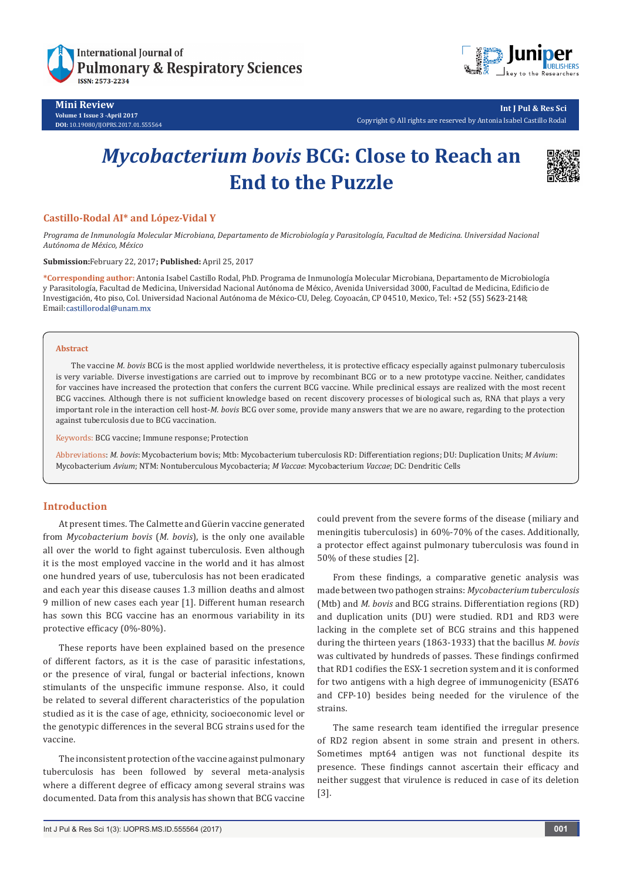

**Mini Review Volume 1 Issue 3 -April 2017 DOI:** [10.19080/IJOPRS.2017.01.555564](http://dx.doi.org/10.19080/IJOPRS.2017.01.555564
)



**Int J Pul & Res Sci** Copyright © All rights are reserved by Antonia Isabel Castillo Rodal

# *Mycobacterium bovis* **BCG: Close to Reach an End to the Puzzle**



# **Castillo-Rodal AI\* and López-Vidal Y**

*Programa de Inmunología Molecular Microbiana, Departamento de Microbiología y Parasitología, Facultad de Medicina. Universidad Nacional Autónoma de México, México*

#### **Submission:**February 22, 2017**; Published:** April 25, 2017

**\*Corresponding author:** Antonia Isabel Castillo Rodal, PhD. Programa de Inmunología Molecular Microbiana, Departamento de Microbiología y Parasitología, Facultad de Medicina, Universidad Nacional Autónoma de México, Avenida Universidad 3000, Facultad de Medicina, Edificio de Investigación, 4to piso, Col. Universidad Nacional Autónoma de México-CU, Deleg. Coyoacán, CP 04510, Mexico, Tel: +52 (55) 5623-2148; Email: castillorodal@unam.mx

#### **Abstract**

The vaccine *M. bovis* BCG is the most applied worldwide nevertheless, it is protective efficacy especially against pulmonary tuberculosis is very variable. Diverse investigations are carried out to improve by recombinant BCG or to a new prototype vaccine. Neither, candidates for vaccines have increased the protection that confers the current BCG vaccine. While preclinical essays are realized with the most recent BCG vaccines. Although there is not sufficient knowledge based on recent discovery processes of biological such as, RNA that plays a very important role in the interaction cell host-*M. bovis* BCG over some, provide many answers that we are no aware, regarding to the protection against tuberculosis due to BCG vaccination.

#### Keywords: BCG vaccine; Immune response; Protection

Abbreviations: *M. bovis*: Mycobacterium bovis; Mtb: Mycobacterium tuberculosis RD: Differentiation regions; DU: Duplication Units; *M Avium*: Mycobacterium *Avium*; NTM: Nontuberculous Mycobacteria; *M Vaccae*: Mycobacterium *Vaccae*; DC: Dendritic Cells

### **Introduction**

At present times. The Calmette and Güerin vaccine generated from *Mycobacterium bovis* (*M. bovis*), is the only one available all over the world to fight against tuberculosis. Even although it is the most employed vaccine in the world and it has almost one hundred years of use, tuberculosis has not been eradicated and each year this disease causes 1.3 million deaths and almost 9 million of new cases each year [1]. Different human research has sown this BCG vaccine has an enormous variability in its protective efficacy (0%-80%).

These reports have been explained based on the presence of different factors, as it is the case of parasitic infestations, or the presence of viral, fungal or bacterial infections, known stimulants of the unspecific immune response. Also, it could be related to several different characteristics of the population studied as it is the case of age, ethnicity, socioeconomic level or the genotypic differences in the several BCG strains used for the vaccine.

The inconsistent protection of the vaccine against pulmonary tuberculosis has been followed by several meta-analysis where a different degree of efficacy among several strains was documented. Data from this analysis has shown that BCG vaccine

could prevent from the severe forms of the disease (miliary and meningitis tuberculosis) in 60%-70% of the cases. Additionally, a protector effect against pulmonary tuberculosis was found in 50% of these studies [2].

From these findings, a comparative genetic analysis was made between two pathogen strains: *Mycobacterium tuberculosis*  (Mtb) and *M. bovis* and BCG strains. Differentiation regions (RD) and duplication units (DU) were studied. RD1 and RD3 were lacking in the complete set of BCG strains and this happened during the thirteen years (1863-1933) that the bacillus *M. bovis*  was cultivated by hundreds of passes. These findings confirmed that RD1 codifies the ESX-1 secretion system and it is conformed for two antigens with a high degree of immunogenicity (ESAT6 and CFP-10) besides being needed for the virulence of the strains.

The same research team identified the irregular presence of RD2 region absent in some strain and present in others. Sometimes mpt64 antigen was not functional despite its presence. These findings cannot ascertain their efficacy and neither suggest that virulence is reduced in case of its deletion [3].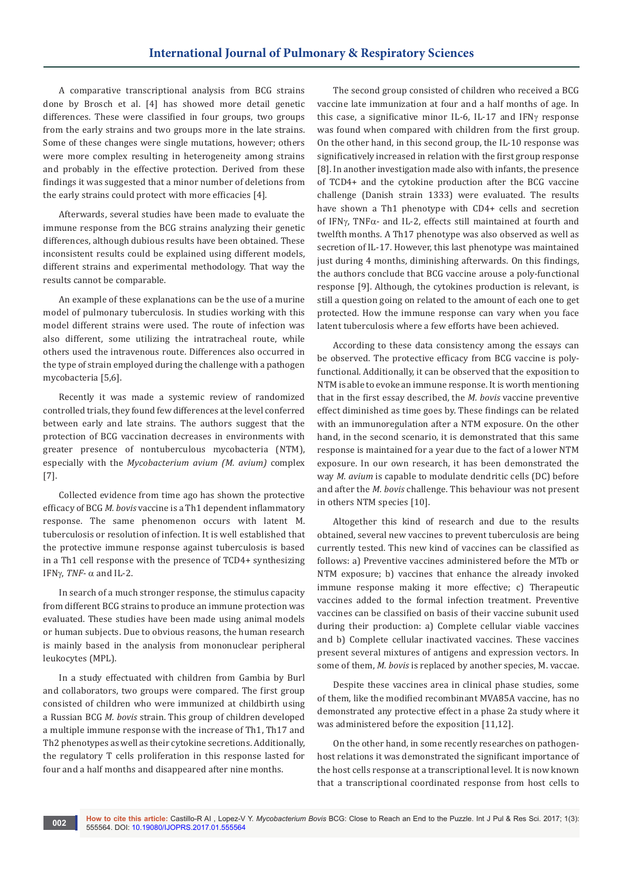A comparative transcriptional analysis from BCG strains done by Brosch et al. [4] has showed more detail genetic differences. These were classified in four groups, two groups from the early strains and two groups more in the late strains. Some of these changes were single mutations, however; others were more complex resulting in heterogeneity among strains and probably in the effective protection. Derived from these findings it was suggested that a minor number of deletions from the early strains could protect with more efficacies [4].

Afterwards, several studies have been made to evaluate the immune response from the BCG strains analyzing their genetic differences, although dubious results have been obtained. These inconsistent results could be explained using different models, different strains and experimental methodology. That way the results cannot be comparable.

An example of these explanations can be the use of a murine model of pulmonary tuberculosis. In studies working with this model different strains were used. The route of infection was also different, some utilizing the intratracheal route, while others used the intravenous route. Differences also occurred in the type of strain employed during the challenge with a pathogen mycobacteria [5,6].

Recently it was made a systemic review of randomized controlled trials, they found few differences at the level conferred between early and late strains. The authors suggest that the protection of BCG vaccination decreases in environments with greater presence of nontuberculous mycobacteria (NTM), especially with the *Mycobacterium avium (M. avium)* complex [7].

Collected evidence from time ago has shown the protective efficacy of BCG *M. bovis* vaccine is a Th1 dependent inflammatory response. The same phenomenon occurs with latent M. tuberculosis or resolution of infection. It is well established that the protective immune response against tuberculosis is based in a Th1 cell response with the presence of TCD4+ synthesizing IFN $\gamma$ , *TNF-*  $\alpha$  and IL-2.

In search of a much stronger response, the stimulus capacity from different BCG strains to produce an immune protection was evaluated. These studies have been made using animal models or human subjects. Due to obvious reasons, the human research is mainly based in the analysis from mononuclear peripheral leukocytes (MPL).

In a study effectuated with children from Gambia by Burl and collaborators, two groups were compared. The first group consisted of children who were immunized at childbirth using a Russian BCG *M. bovis* strain. This group of children developed a multiple immune response with the increase of Th1, Th17 and Th2 phenotypes as well as their cytokine secretions. Additionally, the regulatory T cells proliferation in this response lasted for four and a half months and disappeared after nine months.

The second group consisted of children who received a BCG vaccine late immunization at four and a half months of age. In this case, a significative minor IL-6, IL-17 and IFN $\gamma$  response was found when compared with children from the first group. On the other hand, in this second group, the IL-10 response was significatively increased in relation with the first group response [8]. In another investigation made also with infants, the presence of TCD4+ and the cytokine production after the BCG vaccine challenge (Danish strain 1333) were evaluated. The results have shown a Th1 phenotype with CD4+ cells and secretion of IFN $\gamma$ , TNF $\alpha$ - and IL-2, effects still maintained at fourth and twelfth months. A Th17 phenotype was also observed as well as secretion of IL-17. However, this last phenotype was maintained just during 4 months, diminishing afterwards. On this findings, the authors conclude that BCG vaccine arouse a poly-functional response [9]. Although, the cytokines production is relevant, is still a question going on related to the amount of each one to get protected. How the immune response can vary when you face latent tuberculosis where a few efforts have been achieved.

According to these data consistency among the essays can be observed. The protective efficacy from BCG vaccine is polyfunctional. Additionally, it can be observed that the exposition to NTM is able to evoke an immune response. It is worth mentioning that in the first essay described, the *M. bovis* vaccine preventive effect diminished as time goes by. These findings can be related with an immunoregulation after a NTM exposure. On the other hand, in the second scenario, it is demonstrated that this same response is maintained for a year due to the fact of a lower NTM exposure. In our own research, it has been demonstrated the way *M. avium* is capable to modulate dendritic cells (DC) before and after the *M. bovis* challenge. This behaviour was not present in others NTM species [10].

Altogether this kind of research and due to the results obtained, several new vaccines to prevent tuberculosis are being currently tested. This new kind of vaccines can be classified as follows: a) Preventive vaccines administered before the MTb or NTM exposure; b) vaccines that enhance the already invoked immune response making it more effective; c) Therapeutic vaccines added to the formal infection treatment. Preventive vaccines can be classified on basis of their vaccine subunit used during their production: a) Complete cellular viable vaccines and b) Complete cellular inactivated vaccines. These vaccines present several mixtures of antigens and expression vectors. In some of them, *M. bovis* is replaced by another species, M. vaccae.

Despite these vaccines area in clinical phase studies, some of them, like the modified recombinant MVA85A vaccine, has no demonstrated any protective effect in a phase 2a study where it was administered before the exposition [11,12].

On the other hand, in some recently researches on pathogenhost relations it was demonstrated the significant importance of the host cells response at a transcriptional level. It is now known that a transcriptional coordinated response from host cells to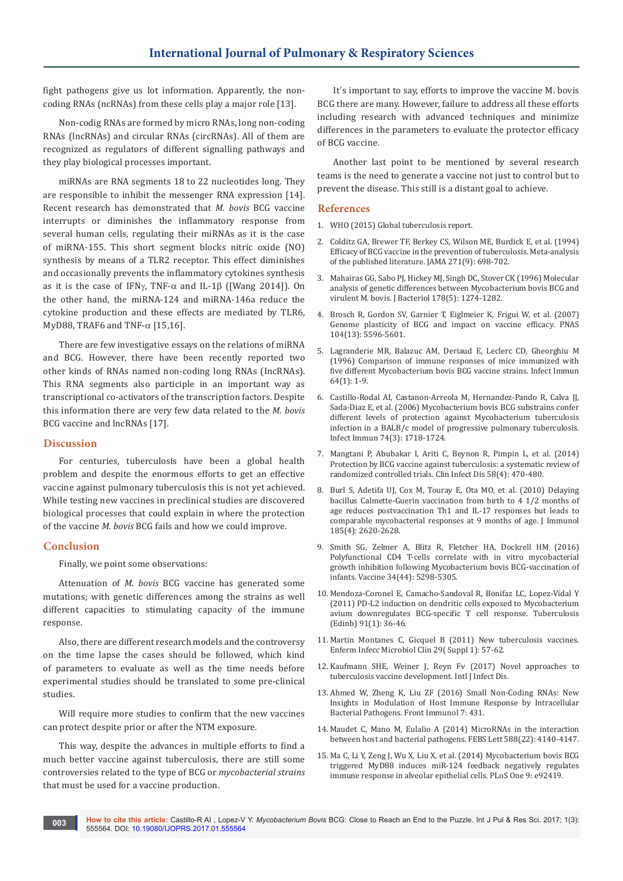fight pathogens give us lot information. Apparently, the noncoding RNAs (ncRNAs) from these cells play a major role [13].

Non-codig RNAs are formed by micro RNAs, long non-coding RNAs (lncRNAs) and circular RNAs (circRNAs). All of them are recognized as regulators of different signalling pathways and they play biological processes important.

miRNAs are RNA segments 18 to 22 nucleotides long. They are responsible to inhibit the messenger RNA expression [14]. Recent research has demonstrated that *M. bovis* BCG vaccine interrupts or diminishes the inflammatory response from several human cells, regulating their miRNAs as it is the case of miRNA-155. This short segment blocks nitric oxide (NO) synthesis by means of a TLR2 receptor. This effect diminishes and occasionally prevents the inflammatory cytokines synthesis as it is the case of IFN $\gamma$ , TNF- $\alpha$  and IL-1 $\beta$  ([Wang 2014]). On the other hand, the miRNA-124 and miRNA-146a reduce the cytokine production and these effects are mediated by TLR6, MyD88, TRAF6 and TNF- $\alpha$  [15,16].

There are few investigative essays on the relations of miRNA and BCG. However, there have been recently reported two other kinds of RNAs named non-coding long RNAs (IncRNAs). This RNA segments also participle in an important way as transcriptional co-activators of the transcription factors. Despite this information there are very few data related to the *M. bovis* BCG vaccine and lncRNAs [17].

### **Discussion**

For centuries, tuberculosis have been a global health problem and despite the enormous efforts to get an effective vaccine against pulmonary tuberculosis this is not yet achieved. While testing new vaccines in preclinical studies are discovered biological processes that could explain in where the protection of the vaccine *M. bovis* BCG fails and how we could improve.

## **Conclusion**

Finally, we point some observations:

Attenuation of *M. bovis* BCG vaccine has generated some mutations; with genetic differences among the strains as well different capacities to stimulating capacity of the immune response.

Also, there are different research models and the controversy on the time lapse the cases should be followed, which kind of parameters to evaluate as well as the time needs before experimental studies should be translated to some pre-clinical studies.

Will require more studies to confirm that the new vaccines can protect despite prior or after the NTM exposure.

This way, despite the advances in multiple efforts to find a much better vaccine against tuberculosis, there are still some controversies related to the type of BCG or *mycobacterial strains* that must be used for a vaccine production.

It´s important to say, efforts to improve the vaccine M. bovis BCG there are many. However, failure to address all these efforts including research with advanced techniques and minimize differences in the parameters to evaluate the protector efficacy of BCG vaccine.

Another last point to be mentioned by several research teams is the need to generate a vaccine not just to control but to prevent the disease. This still is a distant goal to achieve.

#### **References**

- 1. WHO (2015) Global tuberculosis report.
- 2. [Colditz GA, Brewer TF, Berkey CS, Wilson ME, Burdick E, et al. \(1994\)](https://www.ncbi.nlm.nih.gov/pubmed/8309034)  [Efficacy of BCG vaccine in the prevention of tuberculosis. Meta-analysis](https://www.ncbi.nlm.nih.gov/pubmed/8309034)  [of the published literature. JAMA 271\(9\): 698-702.](https://www.ncbi.nlm.nih.gov/pubmed/8309034)
- 3. [Mahairas GG, Sabo PJ, Hickey MJ, Singh DC, Stover CK \(1996\) Molecular](https://www.ncbi.nlm.nih.gov/pubmed/8631702/)  [analysis of genetic differences between Mycobacterium bovis BCG and](https://www.ncbi.nlm.nih.gov/pubmed/8631702/)  [virulent M. bovis. J Bacteriol 178\(5\): 1274-1282.](https://www.ncbi.nlm.nih.gov/pubmed/8631702/)
- 4. [Brosch R, Gordon SV, Garnier T, Eiglmeier K, Frigui W, et al. \(2007\)](https://www.ncbi.nlm.nih.gov/pubmed/17372194)  [Genome plasticity of BCG and impact on vaccine efficacy. PNAS](https://www.ncbi.nlm.nih.gov/pubmed/17372194)  [104\(13\): 5596-5601.](https://www.ncbi.nlm.nih.gov/pubmed/17372194)
- 5. [Lagranderie MR, Balazuc AM, Deriaud E, Leclerc CD, Gheorghiu M](https://www.ncbi.nlm.nih.gov/pubmed/8557324/)  [\(1996\) Comparison of immune responses of mice immunized with](https://www.ncbi.nlm.nih.gov/pubmed/8557324/)  [five different Mycobacterium bovis BCG vaccine strains. Infect Immun](https://www.ncbi.nlm.nih.gov/pubmed/8557324/)  [64\(1\): 1-9.](https://www.ncbi.nlm.nih.gov/pubmed/8557324/)
- 6. [Castillo-Rodal AI, Castanon-Arreola M, Hernandez-Pando R, Calva JJ,](https://www.ncbi.nlm.nih.gov/pubmed/16495544)  [Sada-Diaz E, et al. \(2006\) Mycobacterium bovis BCG substrains confer](https://www.ncbi.nlm.nih.gov/pubmed/16495544)  [different levels of protection against Mycobacterium tuberculosis](https://www.ncbi.nlm.nih.gov/pubmed/16495544)  [infection in a BALB/c model of progressive pulmonary tuberculosis.](https://www.ncbi.nlm.nih.gov/pubmed/16495544)  [Infect Immun 74\(3\): 1718-1724.](https://www.ncbi.nlm.nih.gov/pubmed/16495544)
- 7. [Mangtani P, Abubakar I, Ariti C, Beynon R, Pimpin L, et al. \(2014\)](https://www.ncbi.nlm.nih.gov/pubmed/24336911)  [Protection by BCG vaccine against tuberculosis: a systematic review of](https://www.ncbi.nlm.nih.gov/pubmed/24336911)  [randomized controlled trials. Clin Infect Dis 58\(4\): 470-480.](https://www.ncbi.nlm.nih.gov/pubmed/24336911)
- 8. [Burl S, Adetifa UJ, Cox M, Touray E, Ota MO, et al. \(2010\) Delaying](https://www.ncbi.nlm.nih.gov/pubmed/20644160)  [bacillus Calmette-Guerin vaccination from birth to 4 1/2 months of](https://www.ncbi.nlm.nih.gov/pubmed/20644160)  [age reduces postvaccination Th1 and IL-17 responses but leads to](https://www.ncbi.nlm.nih.gov/pubmed/20644160)  [comparable mycobacterial responses at 9 months of age. J Immunol](https://www.ncbi.nlm.nih.gov/pubmed/20644160)  [185\(4\): 2620-2628.](https://www.ncbi.nlm.nih.gov/pubmed/20644160)
- 9. [Smith SG, Zelmer A, Blitz R, Fletcher HA, Dockrell HM \(2016\)](https://www.ncbi.nlm.nih.gov/pubmed/27622301)  [Polyfunctional CD4 T-cells correlate with in vitro mycobacterial](https://www.ncbi.nlm.nih.gov/pubmed/27622301)  [growth inhibition following Mycobacterium bovis BCG-vaccination of](https://www.ncbi.nlm.nih.gov/pubmed/27622301)  [infants. Vaccine 34\(44\): 5298-5305.](https://www.ncbi.nlm.nih.gov/pubmed/27622301)
- 10. [Mendoza-Coronel E, Camacho-Sandoval R, Bonifaz LC, Lopez-Vidal Y](https://www.ncbi.nlm.nih.gov/pubmed/21147037)  [\(2011\) PD-L2 induction on dendritic cells exposed to Mycobacterium](https://www.ncbi.nlm.nih.gov/pubmed/21147037)  [avium downregulates BCG-specific T cell response. Tuberculosis](https://www.ncbi.nlm.nih.gov/pubmed/21147037)  [\(Edinb\) 91\(1\): 36-46.](https://www.ncbi.nlm.nih.gov/pubmed/21147037)
- 11. [Martin Montanes C, Gicquel B \(2011\) New tuberculosis vaccines.](https://www.ncbi.nlm.nih.gov/pubmed/21420568)  [Enferm Infecc Microbiol Clin 29\( Suppl 1\): 57-62.](https://www.ncbi.nlm.nih.gov/pubmed/21420568)
- 12. Kaufmann SHE, Weiner J, Reyn Fv (2017) Novel approaches to tuberculosis vaccine development. Intl J Infect Dis.
- 13. [Ahmed W, Zheng K, Liu ZF \(2016\) Small Non-Coding RNAs: New](https://www.ncbi.nlm.nih.gov/pubmed/27803700)  [Insights in Modulation of Host Immune Response by Intracellular](https://www.ncbi.nlm.nih.gov/pubmed/27803700)  [Bacterial Pathogens. Front Immunol 7: 431.](https://www.ncbi.nlm.nih.gov/pubmed/27803700)
- 14. [Maudet C, Mano M, Eulalio A \(2014\) MicroRNAs in the interaction](https://www.ncbi.nlm.nih.gov/pubmed/25128459)  [between host and bacterial pathogens. FEBS Lett 588\(22\): 4140-4147.](https://www.ncbi.nlm.nih.gov/pubmed/25128459)
- 15. [Ma C, Li Y, Zeng J, Wu X, Liu X, et al. \(2014\) Mycobacterium bovis BCG](https://www.ncbi.nlm.nih.gov/pubmed/24705038)  [triggered MyD88 induces miR-124 feedback negatively regulates](https://www.ncbi.nlm.nih.gov/pubmed/24705038)  [immune response in alveolar epithelial cells. PLoS One 9: e92419.](https://www.ncbi.nlm.nih.gov/pubmed/24705038)